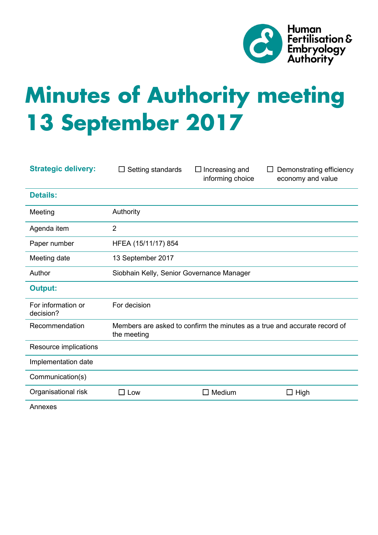

# **Minutes of Authority meeting 13 September 2017**

| <b>Strategic delivery:</b>      | Setting standards<br>$\Box$                                                              | $\Box$ Increasing and<br>informing choice | Demonstrating efficiency<br>economy and value |
|---------------------------------|------------------------------------------------------------------------------------------|-------------------------------------------|-----------------------------------------------|
| <b>Details:</b>                 |                                                                                          |                                           |                                               |
| Meeting                         | Authority                                                                                |                                           |                                               |
| Agenda item                     | $\overline{2}$                                                                           |                                           |                                               |
| Paper number                    | HFEA (15/11/17) 854                                                                      |                                           |                                               |
| Meeting date                    | 13 September 2017                                                                        |                                           |                                               |
| Author                          | Siobhain Kelly, Senior Governance Manager                                                |                                           |                                               |
| <b>Output:</b>                  |                                                                                          |                                           |                                               |
| For information or<br>decision? | For decision                                                                             |                                           |                                               |
| Recommendation                  | Members are asked to confirm the minutes as a true and accurate record of<br>the meeting |                                           |                                               |
| Resource implications           |                                                                                          |                                           |                                               |
| Implementation date             |                                                                                          |                                           |                                               |
| Communication(s)                |                                                                                          |                                           |                                               |
| Organisational risk             | $\square$ Low                                                                            | Medium<br>- 1                             | High                                          |
|                                 |                                                                                          |                                           |                                               |

Annexes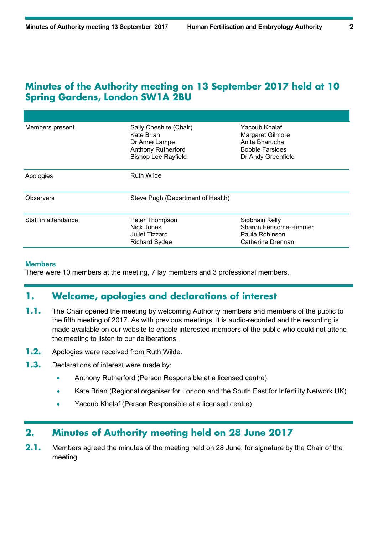## **Minutes of the Authority meeting on 13 September 2017 held at 10 Spring Gardens, London SW1A 2BU**

| Members present     | Sally Cheshire (Chair)<br>Kate Brian<br>Dr Anne Lampe<br><b>Anthony Rutherford</b><br><b>Bishop Lee Rayfield</b> | Yacoub Khalaf<br>Margaret Gilmore<br>Anita Bharucha<br><b>Bobbie Farsides</b><br>Dr Andy Greenfield |  |
|---------------------|------------------------------------------------------------------------------------------------------------------|-----------------------------------------------------------------------------------------------------|--|
| Apologies           | <b>Ruth Wilde</b>                                                                                                |                                                                                                     |  |
| Observers           | Steve Pugh (Department of Health)                                                                                |                                                                                                     |  |
| Staff in attendance | Peter Thompson<br>Nick Jones<br>Juliet Tizzard<br><b>Richard Sydee</b>                                           | Siobhain Kelly<br>Sharon Fensome-Rimmer<br>Paula Robinson<br>Catherine Drennan                      |  |

#### **Members**

There were 10 members at the meeting, 7 lay members and 3 professional members.

## **1. Welcome, apologies and declarations of interest**

- **1.1.** The Chair opened the meeting by welcoming Authority members and members of the public to the fifth meeting of 2017. As with previous meetings, it is audio-recorded and the recording is made available on our website to enable interested members of the public who could not attend the meeting to listen to our deliberations.
- **1.2.** Apologies were received from Ruth Wilde.
- **1.3.** Declarations of interest were made by:
	- Anthony Rutherford (Person Responsible at a licensed centre)
	- Kate Brian (Regional organiser for London and the South East for Infertility Network UK)
	- Yacoub Khalaf (Person Responsible at a licensed centre)

## **2. Minutes of Authority meeting held on 28 June 2017**

**2.1.** Members agreed the minutes of the meeting held on 28 June, for signature by the Chair of the meeting.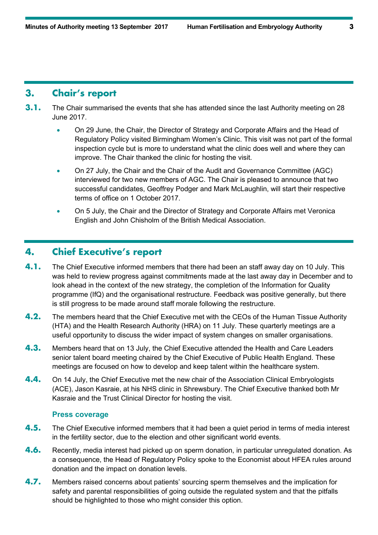### **3. Chair's report**

- **3.1.** The Chair summarised the events that she has attended since the last Authority meeting on 28 June 2017.
	- On 29 June, the Chair, the Director of Strategy and Corporate Affairs and the Head of Regulatory Policy visited Birmingham Women's Clinic. This visit was not part of the formal inspection cycle but is more to understand what the clinic does well and where they can improve. The Chair thanked the clinic for hosting the visit.
	- On 27 July, the Chair and the Chair of the Audit and Governance Committee (AGC) interviewed for two new members of AGC. The Chair is pleased to announce that two successful candidates, Geoffrey Podger and Mark McLaughlin, will start their respective terms of office on 1 October 2017.
	- On 5 July, the Chair and the Director of Strategy and Corporate Affairs met Veronica English and John Chisholm of the British Medical Association.

#### **4. Chief Executive's report**

- **4.1.** The Chief Executive informed members that there had been an staff away day on 10 July. This was held to review progress against commitments made at the last away day in December and to look ahead in the context of the new strategy, the completion of the Information for Quality programme (IfQ) and the organisational restructure. Feedback was positive generally, but there is still progress to be made around staff morale following the restructure.
- **4.2.** The members heard that the Chief Executive met with the CEOs of the Human Tissue Authority (HTA) and the Health Research Authority (HRA) on 11 July. These quarterly meetings are a useful opportunity to discuss the wider impact of system changes on smaller organisations.
- **4.3.** Members heard that on 13 July, the Chief Executive attended the Health and Care Leaders senior talent board meeting chaired by the Chief Executive of Public Health England. These meetings are focused on how to develop and keep talent within the healthcare system.
- **4.4.** On 14 July, the Chief Executive met the new chair of the Association Clinical Embryologists (ACE), Jason Kasraie, at his NHS clinic in Shrewsbury. The Chief Executive thanked both Mr Kasraie and the Trust Clinical Director for hosting the visit.

#### **Press coverage**

- **4.5.** The Chief Executive informed members that it had been a quiet period in terms of media interest in the fertility sector, due to the election and other significant world events.
- **4.6.** Recently, media interest had picked up on sperm donation, in particular unregulated donation. As a consequence, the Head of Regulatory Policy spoke to the Economist about HFEA rules around donation and the impact on donation levels.
- **4.7.** Members raised concerns about patients' sourcing sperm themselves and the implication for safety and parental responsibilities of going outside the regulated system and that the pitfalls should be highlighted to those who might consider this option.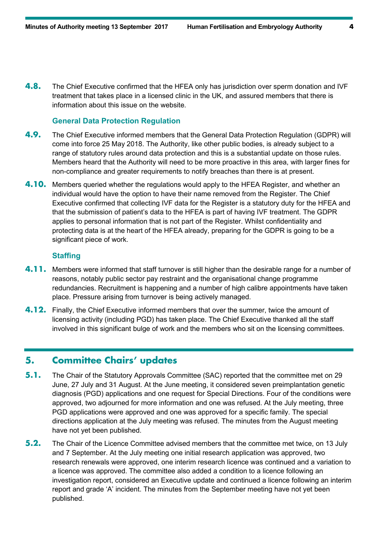**4.8.** The Chief Executive confirmed that the HFEA only has jurisdiction over sperm donation and IVF treatment that takes place in a licensed clinic in the UK, and assured members that there is information about this issue on the website.

#### **General Data Protection Regulation**

- **4.9.** The Chief Executive informed members that the General Data Protection Regulation (GDPR) will come into force 25 May 2018. The Authority, like other public bodies, is already subject to a range of statutory rules around data protection and this is a substantial update on those rules. Members heard that the Authority will need to be more proactive in this area, with larger fines for non-compliance and greater requirements to notify breaches than there is at present.
- **4.10.** Members queried whether the regulations would apply to the HFEA Register, and whether an individual would have the option to have their name removed from the Register. The Chief Executive confirmed that collecting IVF data for the Register is a statutory duty for the HFEA and that the submission of patient's data to the HFEA is part of having IVF treatment. The GDPR applies to personal information that is not part of the Register. Whilst confidentiality and protecting data is at the heart of the HFEA already, preparing for the GDPR is going to be a significant piece of work.

#### **Staffing**

- **4.11.** Members were informed that staff turnover is still higher than the desirable range for a number of reasons, notably public sector pay restraint and the organisational change programme redundancies. Recruitment is happening and a number of high calibre appointments have taken place. Pressure arising from turnover is being actively managed.
- **4.12.** Finally, the Chief Executive informed members that over the summer, twice the amount of licensing activity (including PGD) has taken place. The Chief Executive thanked all the staff involved in this significant bulge of work and the members who sit on the licensing committees.

## **5. Committee Chairs' updates**

- **5.1.** The Chair of the Statutory Approvals Committee (SAC) reported that the committee met on 29 June, 27 July and 31 August. At the June meeting, it considered seven preimplantation genetic diagnosis (PGD) applications and one request for Special Directions. Four of the conditions were approved, two adjourned for more information and one was refused. At the July meeting, three PGD applications were approved and one was approved for a specific family. The special directions application at the July meeting was refused. The minutes from the August meeting have not yet been published.
- **5.2.** The Chair of the Licence Committee advised members that the committee met twice, on 13 July and 7 September. At the July meeting one initial research application was approved, two research renewals were approved, one interim research licence was continued and a variation to a licence was approved. The committee also added a condition to a licence following an investigation report, considered an Executive update and continued a licence following an interim report and grade 'A' incident. The minutes from the September meeting have not yet been published.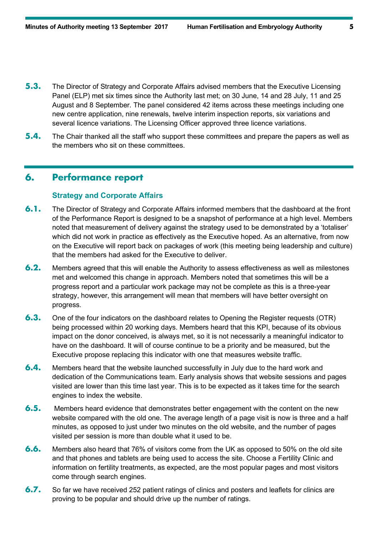- **5.3.** The Director of Strategy and Corporate Affairs advised members that the Executive Licensing Panel (ELP) met six times since the Authority last met; on 30 June, 14 and 28 July, 11 and 25 August and 8 September. The panel considered 42 items across these meetings including one new centre application, nine renewals, twelve interim inspection reports, six variations and several licence variations. The Licensing Officer approved three licence variations.
- **5.4.** The Chair thanked all the staff who support these committees and prepare the papers as well as the members who sit on these committees.

### **6. Performance report**

#### **Strategy and Corporate Affairs**

- **6.1.** The Director of Strategy and Corporate Affairs informed members that the dashboard at the front of the Performance Report is designed to be a snapshot of performance at a high level. Members noted that measurement of delivery against the strategy used to be demonstrated by a 'totaliser' which did not work in practice as effectively as the Executive hoped. As an alternative, from now on the Executive will report back on packages of work (this meeting being leadership and culture) that the members had asked for the Executive to deliver.
- **6.2.** Members agreed that this will enable the Authority to assess effectiveness as well as milestones met and welcomed this change in approach. Members noted that sometimes this will be a progress report and a particular work package may not be complete as this is a three-year strategy, however, this arrangement will mean that members will have better oversight on progress.
- **6.3.** One of the four indicators on the dashboard relates to Opening the Register requests (OTR) being processed within 20 working days. Members heard that this KPI, because of its obvious impact on the donor conceived, is always met, so it is not necessarily a meaningful indicator to have on the dashboard. It will of course continue to be a priority and be measured, but the Executive propose replacing this indicator with one that measures website traffic.
- **6.4.** Members heard that the website launched successfully in July due to the hard work and dedication of the Communications team. Early analysis shows that website sessions and pages visited are lower than this time last year. This is to be expected as it takes time for the search engines to index the website.
- **6.5.** Members heard evidence that demonstrates better engagement with the content on the new website compared with the old one. The average length of a page visit is now is three and a half minutes, as opposed to just under two minutes on the old website, and the number of pages visited per session is more than double what it used to be.
- **6.6.** Members also heard that 76% of visitors come from the UK as opposed to 50% on the old site and that phones and tablets are being used to access the site. Choose a Fertility Clinic and information on fertility treatments, as expected, are the most popular pages and most visitors come through search engines.
- **6.7.** So far we have received 252 patient ratings of clinics and posters and leaflets for clinics are proving to be popular and should drive up the number of ratings.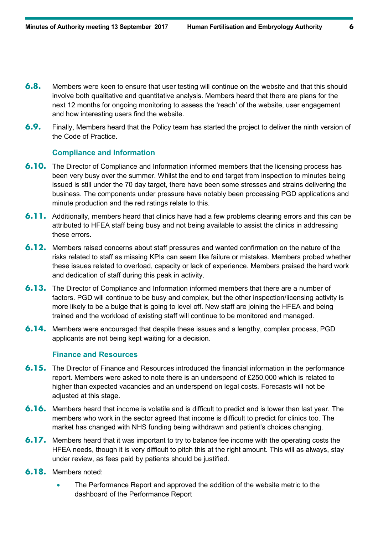- **6.8.** Members were keen to ensure that user testing will continue on the website and that this should involve both qualitative and quantitative analysis. Members heard that there are plans for the next 12 months for ongoing monitoring to assess the 'reach' of the website, user engagement and how interesting users find the website.
- **6.9.** Finally, Members heard that the Policy team has started the project to deliver the ninth version of the Code of Practice.

#### **Compliance and Information**

- **6.10.** The Director of Compliance and Information informed members that the licensing process has been very busy over the summer. Whilst the end to end target from inspection to minutes being issued is still under the 70 day target, there have been some stresses and strains delivering the business. The components under pressure have notably been processing PGD applications and minute production and the red ratings relate to this.
- **6.11.** Additionally, members heard that clinics have had a few problems clearing errors and this can be attributed to HFEA staff being busy and not being available to assist the clinics in addressing these errors.
- **6.12.** Members raised concerns about staff pressures and wanted confirmation on the nature of the risks related to staff as missing KPIs can seem like failure or mistakes. Members probed whether these issues related to overload, capacity or lack of experience. Members praised the hard work and dedication of staff during this peak in activity.
- **6.13.** The Director of Compliance and Information informed members that there are a number of factors. PGD will continue to be busy and complex, but the other inspection/licensing activity is more likely to be a bulge that is going to level off. New staff are joining the HFEA and being trained and the workload of existing staff will continue to be monitored and managed.
- **6.14.** Members were encouraged that despite these issues and a lengthy, complex process, PGD applicants are not being kept waiting for a decision.

#### **Finance and Resources**

- **6.15.** The Director of Finance and Resources introduced the financial information in the performance report. Members were asked to note there is an underspend of £250,000 which is related to higher than expected vacancies and an underspend on legal costs. Forecasts will not be adjusted at this stage.
- **6.16.** Members heard that income is volatile and is difficult to predict and is lower than last year. The members who work in the sector agreed that income is difficult to predict for clinics too. The market has changed with NHS funding being withdrawn and patient's choices changing.
- **6.17.** Members heard that it was important to try to balance fee income with the operating costs the HFEA needs, though it is very difficult to pitch this at the right amount. This will as always, stay under review, as fees paid by patients should be justified.
- **6.18.** Members noted:
	- The Performance Report and approved the addition of the website metric to the dashboard of the Performance Report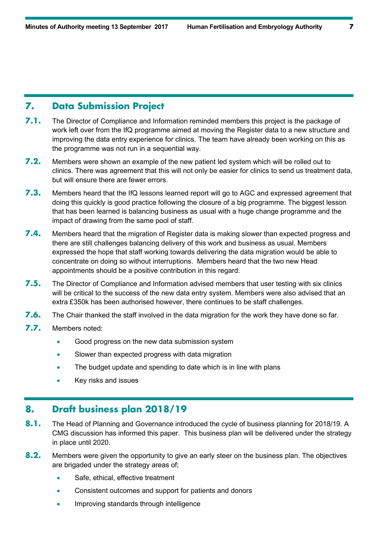#### **7. Data Submission Project**

- **7.1.** The Director of Compliance and Information reminded members this project is the package of work left over from the IfQ programme aimed at moving the Register data to a new structure and improving the data entry experience for clinics. The team have already been working on this as the programme was not run in a sequential way.
- **7.2.** Members were shown an example of the new patient led system which will be rolled out to clinics. There was agreement that this will not only be easier for clinics to send us treatment data, but will ensure there are fewer errors.
- **7.3.** Members heard that the IfQ lessons learned report will go to AGC and expressed agreement that doing this quickly is good practice following the closure of a big programme. The biggest lesson that has been learned is balancing business as usual with a huge change programme and the impact of drawing from the same pool of staff.
- **7.4.** Members heard that the migration of Register data is making slower than expected progress and there are still challenges balancing delivery of this work and business as usual. Members expressed the hope that staff working towards delivering the data migration would be able to concentrate on doing so without interruptions. Members heard that the two new Head appointments should be a positive contribution in this regard.
- **7.5.** The Director of Compliance and Information advised members that user testing with six clinics will be critical to the success of the new data entry system. Members were also advised that an extra £350k has been authorised however, there continues to be staff challenges.
- **7.6.** The Chair thanked the staff involved in the data migration for the work they have done so far.
- **7.7.** Members noted:
	- Good progress on the new data submission system
	- Slower than expected progress with data migration
	- The budget update and spending to date which is in line with plans
	- Key risks and issues

## **8. Draft business plan 2018/19**

- **8.1.** The Head of Planning and Governance introduced the cycle of business planning for 2018/19. A CMG discussion has informed this paper. This business plan will be delivered under the strategy in place until 2020.
- **8.2.** Members were given the opportunity to give an early steer on the business plan. The objectives are brigaded under the strategy areas of;
	- Safe, ethical, effective treatment
	- Consistent outcomes and support for patients and donors
	- Improving standards through intelligence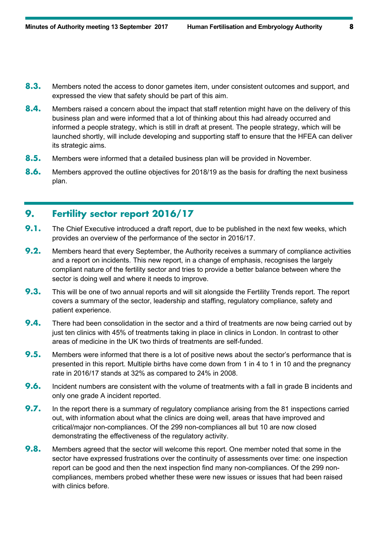- **8.3.** Members noted the access to donor gametes item, under consistent outcomes and support, and expressed the view that safety should be part of this aim.
- **8.4.** Members raised a concern about the impact that staff retention might have on the delivery of this business plan and were informed that a lot of thinking about this had already occurred and informed a people strategy, which is still in draft at present. The people strategy, which will be launched shortly, will include developing and supporting staff to ensure that the HFEA can deliver its strategic aims.
- **8.5.** Members were informed that a detailed business plan will be provided in November.
- **8.6.** Members approved the outline objectives for 2018/19 as the basis for drafting the next business plan.

## **9. Fertility sector report 2016/17**

- **9.1.** The Chief Executive introduced a draft report, due to be published in the next few weeks, which provides an overview of the performance of the sector in 2016/17.
- **9.2.** Members heard that every September, the Authority receives a summary of compliance activities and a report on incidents. This new report, in a change of emphasis, recognises the largely compliant nature of the fertility sector and tries to provide a better balance between where the sector is doing well and where it needs to improve.
- **9.3.** This will be one of two annual reports and will sit alongside the Fertility Trends report. The report covers a summary of the sector, leadership and staffing, regulatory compliance, safety and patient experience.
- **9.4.** There had been consolidation in the sector and a third of treatments are now being carried out by just ten clinics with 45% of treatments taking in place in clinics in London. In contrast to other areas of medicine in the UK two thirds of treatments are self-funded.
- **9.5.** Members were informed that there is a lot of positive news about the sector's performance that is presented in this report. Multiple births have come down from 1 in 4 to 1 in 10 and the pregnancy rate in 2016/17 stands at 32% as compared to 24% in 2008.
- **9.6.** Incident numbers are consistent with the volume of treatments with a fall in grade B incidents and only one grade A incident reported.
- **9.7.** In the report there is a summary of regulatory compliance arising from the 81 inspections carried out, with information about what the clinics are doing well, areas that have improved and critical/major non-compliances. Of the 299 non-compliances all but 10 are now closed demonstrating the effectiveness of the regulatory activity.
- **9.8.** Members agreed that the sector will welcome this report. One member noted that some in the sector have expressed frustrations over the continuity of assessments over time: one inspection report can be good and then the next inspection find many non-compliances. Of the 299 noncompliances, members probed whether these were new issues or issues that had been raised with clinics before.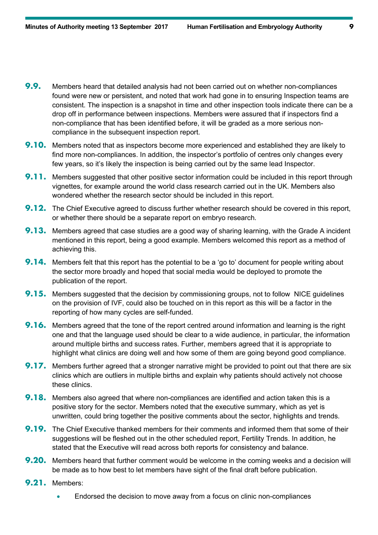- **9.9.** Members heard that detailed analysis had not been carried out on whether non-compliances found were new or persistent, and noted that work had gone in to ensuring Inspection teams are consistent. The inspection is a snapshot in time and other inspection tools indicate there can be a drop off in performance between inspections. Members were assured that if inspectors find a non-compliance that has been identified before, it will be graded as a more serious noncompliance in the subsequent inspection report.
- **9.10.** Members noted that as inspectors become more experienced and established they are likely to find more non-compliances. In addition, the inspector's portfolio of centres only changes every few years, so it's likely the inspection is being carried out by the same lead Inspector.
- **9.11.** Members suggested that other positive sector information could be included in this report through vignettes, for example around the world class research carried out in the UK. Members also wondered whether the research sector should be included in this report.
- **9.12.** The Chief Executive agreed to discuss further whether research should be covered in this report, or whether there should be a separate report on embryo research.
- **9.13.** Members agreed that case studies are a good way of sharing learning, with the Grade A incident mentioned in this report, being a good example. Members welcomed this report as a method of achieving this.
- **9.14.** Members felt that this report has the potential to be a 'go to' document for people writing about the sector more broadly and hoped that social media would be deployed to promote the publication of the report.
- **9.15.** Members suggested that the decision by commissioning groups, not to follow NICE guidelines on the provision of IVF, could also be touched on in this report as this will be a factor in the reporting of how many cycles are self-funded.
- **9.16.** Members agreed that the tone of the report centred around information and learning is the right one and that the language used should be clear to a wide audience, in particular, the information around multiple births and success rates. Further, members agreed that it is appropriate to highlight what clinics are doing well and how some of them are going beyond good compliance.
- **9.17.** Members further agreed that a stronger narrative might be provided to point out that there are six clinics which are outliers in multiple births and explain why patients should actively not choose these clinics.
- **9.18.** Members also agreed that where non-compliances are identified and action taken this is a positive story for the sector. Members noted that the executive summary, which as yet is unwritten, could bring together the positive comments about the sector, highlights and trends.
- **9.19.** The Chief Executive thanked members for their comments and informed them that some of their suggestions will be fleshed out in the other scheduled report, Fertility Trends. In addition, he stated that the Executive will read across both reports for consistency and balance.
- **9.20.** Members heard that further comment would be welcome in the coming weeks and a decision will be made as to how best to let members have sight of the final draft before publication.
- **9.21.** Members:
	- Endorsed the decision to move away from a focus on clinic non-compliances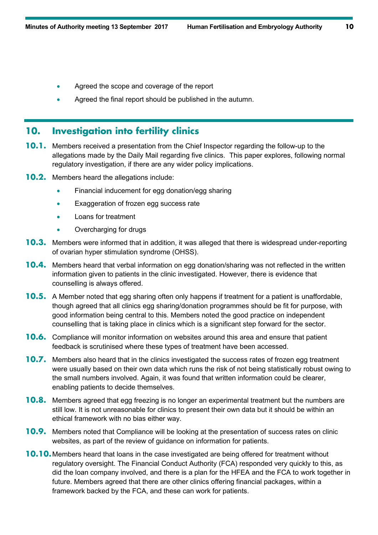- Agreed the scope and coverage of the report
- Agreed the final report should be published in the autumn.

#### **10. Investigation into fertility clinics**

- **10.1.** Members received a presentation from the Chief Inspector regarding the follow-up to the allegations made by the Daily Mail regarding five clinics. This paper explores, following normal regulatory investigation, if there are any wider policy implications.
- **10.2.** Members heard the allegations include:
	- Financial inducement for egg donation/egg sharing
	- Exaggeration of frozen egg success rate
	- Loans for treatment
	- Overcharging for drugs
- **10.3.** Members were informed that in addition, it was alleged that there is widespread under-reporting of ovarian hyper stimulation syndrome (OHSS).
- **10.4.** Members heard that verbal information on egg donation/sharing was not reflected in the written information given to patients in the clinic investigated. However, there is evidence that counselling is always offered.
- **10.5.** A Member noted that egg sharing often only happens if treatment for a patient is unaffordable, though agreed that all clinics egg sharing/donation programmes should be fit for purpose, with good information being central to this. Members noted the good practice on independent counselling that is taking place in clinics which is a significant step forward for the sector.
- **10.6.** Compliance will monitor information on websites around this area and ensure that patient feedback is scrutinised where these types of treatment have been accessed.
- **10.7.** Members also heard that in the clinics investigated the success rates of frozen egg treatment were usually based on their own data which runs the risk of not being statistically robust owing to the small numbers involved. Again, it was found that written information could be clearer, enabling patients to decide themselves.
- **10.8.** Members agreed that egg freezing is no longer an experimental treatment but the numbers are still low. It is not unreasonable for clinics to present their own data but it should be within an ethical framework with no bias either way.
- **10.9.** Members noted that Compliance will be looking at the presentation of success rates on clinic websites, as part of the review of guidance on information for patients.
- **10.10.**Members heard that loans in the case investigated are being offered for treatment without regulatory oversight. The Financial Conduct Authority (FCA) responded very quickly to this, as did the loan company involved, and there is a plan for the HFEA and the FCA to work together in future. Members agreed that there are other clinics offering financial packages, within a framework backed by the FCA, and these can work for patients.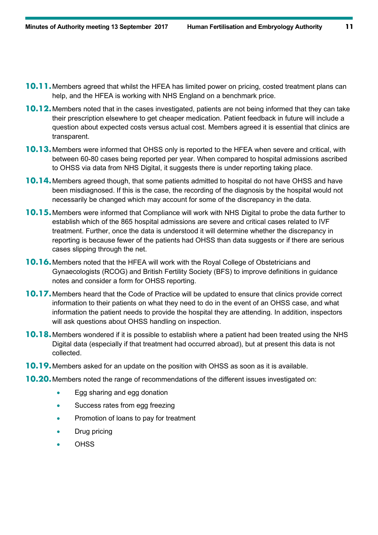- **10.11.**Members agreed that whilst the HFEA has limited power on pricing, costed treatment plans can help, and the HFEA is working with NHS England on a benchmark price.
- **10.12.**Members noted that in the cases investigated, patients are not being informed that they can take their prescription elsewhere to get cheaper medication. Patient feedback in future will include a question about expected costs versus actual cost. Members agreed it is essential that clinics are transparent.
- **10.13.**Members were informed that OHSS only is reported to the HFEA when severe and critical, with between 60-80 cases being reported per year. When compared to hospital admissions ascribed to OHSS via data from NHS Digital, it suggests there is under reporting taking place.
- **10.14.**Members agreed though, that some patients admitted to hospital do not have OHSS and have been misdiagnosed. If this is the case, the recording of the diagnosis by the hospital would not necessarily be changed which may account for some of the discrepancy in the data.
- **10.15.**Members were informed that Compliance will work with NHS Digital to probe the data further to establish which of the 865 hospital admissions are severe and critical cases related to IVF treatment. Further, once the data is understood it will determine whether the discrepancy in reporting is because fewer of the patients had OHSS than data suggests or if there are serious cases slipping through the net.
- **10.16.** Members noted that the HFEA will work with the Royal College of Obstetricians and Gynaecologists (RCOG) and British Fertility Society (BFS) to improve definitions in guidance notes and consider a form for OHSS reporting.
- **10.17.**Members heard that the Code of Practice will be updated to ensure that clinics provide correct information to their patients on what they need to do in the event of an OHSS case, and what information the patient needs to provide the hospital they are attending. In addition, inspectors will ask questions about OHSS handling on inspection.
- **10.18.**Members wondered if it is possible to establish where a patient had been treated using the NHS Digital data (especially if that treatment had occurred abroad), but at present this data is not collected.
- **10.19.**Members asked for an update on the position with OHSS as soon as it is available.
- **10.20.**Members noted the range of recommendations of the different issues investigated on:
	- Egg sharing and egg donation
	- Success rates from egg freezing
	- Promotion of loans to pay for treatment
	- Drug pricing
	- **OHSS**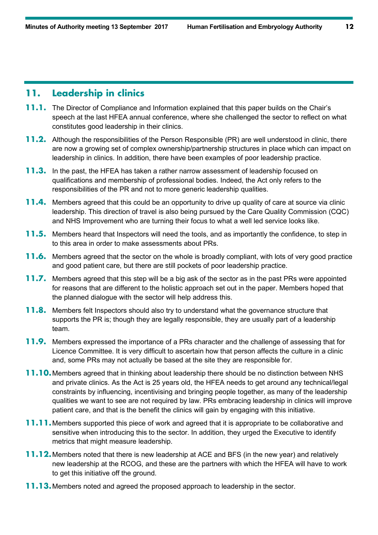## **11. Leadership in clinics**

- **11.1.** The Director of Compliance and Information explained that this paper builds on the Chair's speech at the last HFEA annual conference, where she challenged the sector to reflect on what constitutes good leadership in their clinics.
- **11.2.** Although the responsibilities of the Person Responsible (PR) are well understood in clinic, there are now a growing set of complex ownership/partnership structures in place which can impact on leadership in clinics. In addition, there have been examples of poor leadership practice.
- **11.3.** In the past, the HFEA has taken a rather narrow assessment of leadership focused on qualifications and membership of professional bodies. Indeed, the Act only refers to the responsibilities of the PR and not to more generic leadership qualities.
- **11.4.** Members agreed that this could be an opportunity to drive up quality of care at source via clinic leadership. This direction of travel is also being pursued by the Care Quality Commission (CQC) and NHS Improvement who are turning their focus to what a well led service looks like.
- **11.5.** Members heard that Inspectors will need the tools, and as importantly the confidence, to step in to this area in order to make assessments about PRs.
- **11.6.** Members agreed that the sector on the whole is broadly compliant, with lots of very good practice and good patient care, but there are still pockets of poor leadership practice.
- **11.7.** Members agreed that this step will be a big ask of the sector as in the past PRs were appointed for reasons that are different to the holistic approach set out in the paper. Members hoped that the planned dialogue with the sector will help address this.
- **11.8.** Members felt Inspectors should also try to understand what the governance structure that supports the PR is; though they are legally responsible, they are usually part of a leadership team.
- **11.9.** Members expressed the importance of a PRs character and the challenge of assessing that for Licence Committee. It is very difficult to ascertain how that person affects the culture in a clinic and, some PRs may not actually be based at the site they are responsible for.
- **11.10.**Members agreed that in thinking about leadership there should be no distinction between NHS and private clinics. As the Act is 25 years old, the HFEA needs to get around any technical/legal constraints by influencing, incentivising and bringing people together, as many of the leadership qualities we want to see are not required by law. PRs embracing leadership in clinics will improve patient care, and that is the benefit the clinics will gain by engaging with this initiative.
- **11.11.**Members supported this piece of work and agreed that it is appropriate to be collaborative and sensitive when introducing this to the sector. In addition, they urged the Executive to identify metrics that might measure leadership.
- **11.12.**Members noted that there is new leadership at ACE and BFS (in the new year) and relatively new leadership at the RCOG, and these are the partners with which the HFEA will have to work to get this initiative off the ground.
- **11.13.**Members noted and agreed the proposed approach to leadership in the sector.